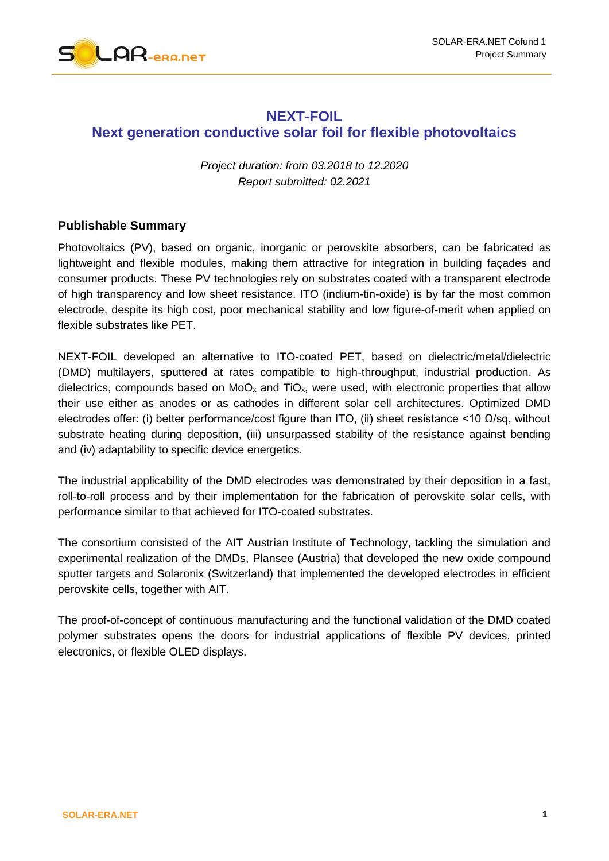

## **NEXT-FOIL Next generation conductive solar foil for flexible photovoltaics**

*Project duration: from 03.2018 to 12.2020 Report submitted: 02.2021*

## **Publishable Summary**

Photovoltaics (PV), based on organic, inorganic or perovskite absorbers, can be fabricated as lightweight and flexible modules, making them attractive for integration in building façades and consumer products. These PV technologies rely on substrates coated with a transparent electrode of high transparency and low sheet resistance. ITO (indium-tin-oxide) is by far the most common electrode, despite its high cost, poor mechanical stability and low figure-of-merit when applied on flexible substrates like PET.

NEXT-FOIL developed an alternative to ITO-coated PET, based on dielectric/metal/dielectric (DMD) multilayers, sputtered at rates compatible to high-throughput, industrial production. As dielectrics, compounds based on  $MoO<sub>x</sub>$  and  $TiO<sub>x</sub>$ , were used, with electronic properties that allow their use either as anodes or as cathodes in different solar cell architectures. Optimized DMD electrodes offer: (i) better performance/cost figure than ITO, (ii) sheet resistance <10 Ω/sq, without substrate heating during deposition, (iii) unsurpassed stability of the resistance against bending and (iv) adaptability to specific device energetics.

The industrial applicability of the DMD electrodes was demonstrated by their deposition in a fast, roll-to-roll process and by their implementation for the fabrication of perovskite solar cells, with performance similar to that achieved for ITO-coated substrates.

The consortium consisted of the AIT Austrian Institute of Technology, tackling the simulation and experimental realization of the DMDs, Plansee (Austria) that developed the new oxide compound sputter targets and Solaronix (Switzerland) that implemented the developed electrodes in efficient perovskite cells, together with AIT.

The proof-of-concept of continuous manufacturing and the functional validation of the DMD coated polymer substrates opens the doors for industrial applications of flexible PV devices, printed electronics, or flexible OLED displays.